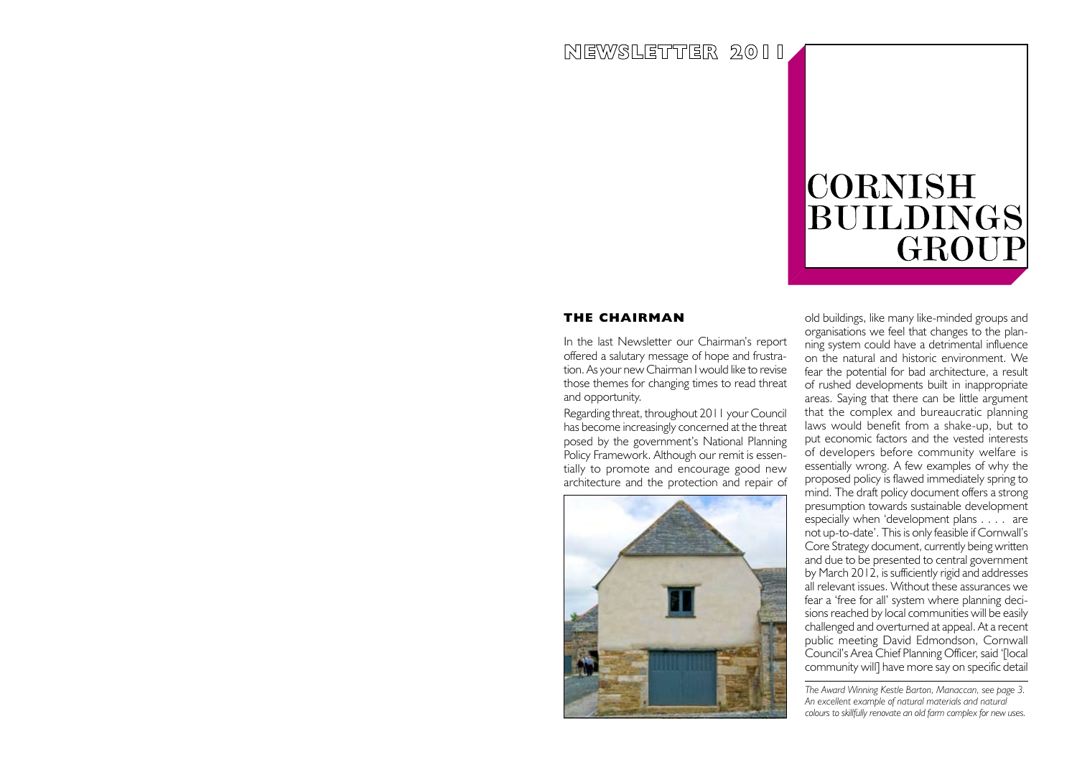# NEWSLETTER 2011

# **CORNISH** BUILDINGS GROUP

## **THE CHAIRMAN**

In the last Newsletter our Chairman's report offered a salutary message of hope and frustration. As your new Chairman I would like to revise those themes for changing times to read threat and opportunity.

Regarding threat, throughout 2011 your Council has become increasingly concerned at the threat posed by the government's National Planning Policy Framework. Although our remit is essentially to promote and encourage good new architecture and the protection and repair of



old buildings, like many like-minded groups and organisations we feel that changes to the planning system could have a detrimental influence on the natural and historic environment. We fear the potential for bad architecture, a result of rushed developments built in inappropriate areas. Saying that there can be little argument that the complex and bureaucratic planning laws would benefit from a shake-up, but to put economic factors and the vested interests of developers before community welfare is essentially wrong. A few examples of why the proposed policy is flawed immediately spring to mind. The draft policy document offers a strong presumption towards sustainable development especially when 'development plans . . . . are not up-to-date'. This is only feasible if Cornwall's Core Strategy document, currently being written and due to be presented to central government by March 2012, is sufficiently rigid and addresses all relevant issues. Without these assurances we fear a 'free for all' system where planning decisions reached by local communities will be easily challenged and overturned at appeal. At a recent public meeting David Edmondson, Cornwall Council's Area Chief Planning Officer, said '[local community will] have more say on specific detail

*The Award Winning Kestle Barton, Manaccan, see page 3. An excellent example of natural materials and natural colours to skillfully renovate an old farm complex for new uses.*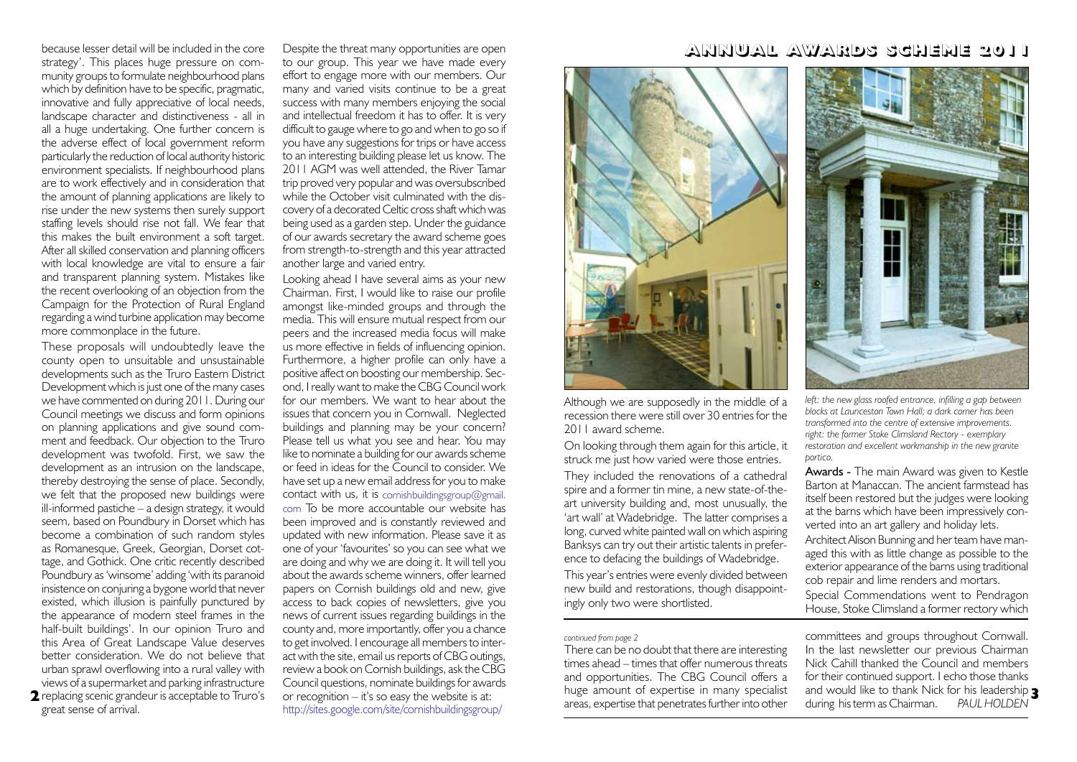because lesser detail will be included in the core strategy'. This places huge pressure on community groups to formulate neighbourhood plans which by definition have to be specific, pragmatic, innovative and fully appreciative of local needs, landscape character and distinctiveness - all in all a huge undertaking. One further concern is the adverse effect of local government reform particularly the reduction of local authority historic environment specialists. If neighbourhood plans are to work effectively and in consideration that the amount of planning applications are likely to rise under the new systems then surely support staffing levels should rise not fall. We fear that this makes the built environment a soft target. After all skilled conservation and planning officers with local knowledge are vital to ensure a fair and transparent planning system. Mistakes like the recent overlooking of an objection from the Campaign for the Protection of Rural England regarding a wind turbine application may become more commonplace in the future.

**2** replacing scenic grandeur is acceptable to Truro's These proposals will undoubtedly leave the county open to unsuitable and unsustainable developments such as the Truro Eastern District Development which is just one of the many cases we have commented on during 2011. During our Council meetings we discuss and form opinions on planning applications and give sound comment and feedback. Our objection to the Truro development was twofold. First, we saw the development as an intrusion on the landscape, thereby destroying the sense of place. Secondly, we felt that the proposed new buildings were ill-informed pastiche – a design strategy, it would seem, based on Poundbury in Dorset which has become a combination of such random styles as Romanesque, Greek, Georgian, Dorset cottage, and Gothick. One critic recently described Poundbury as 'winsome' adding 'with its paranoid insistence on conjuring a bygone world that never existed, which illusion is painfully punctured by the appearance of modern steel frames in the half-built buildings'. In our opinion Truro and this Area of Great Landscape Value deserves better consideration. We do not believe that urban sprawl overflowing into a rural valley with views of a supermarket and parking infrastructure great sense of arrival.

Despite the threat many opportunities are open to our group. This year we have made every effort to engage more with our members. Our many and varied visits continue to be a great success with many members enjoying the social and intellectual freedom it has to offer. It is very difficult to gauge where to go and when to go so if you have any suggestions for trips or have access to an interesting building please let us know. The 2011 AGM was well attended, the River Tamar trip proved very popular and was oversubscribed while the October visit culminated with the discovery of a decorated Celtic cross shaft which was being used as a garden step. Under the guidance of our awards secretary the award scheme goes from strength-to-strength and this year attracted another large and varied entry.

Looking ahead I have several aims as your new Chairman. First, I would like to raise our profile amongst like-minded groups and through the media. This will ensure mutual respect from our peers and the increased media focus will make us more effective in fields of influencing opinion. Furthermore, a higher profile can only have a positive affect on boosting our membership. Second, I really want to make the CBG Council work for our members. We want to hear about the issues that concern you in Cornwall. Neglected buildings and planning may be your concern? Please tell us what you see and hear. You may like to nominate a building for our awards scheme or feed in ideas for the Council to consider. We have set up a new email address for you to make contact with us, it is cornishbuildingsgroup@gmail. com To be more accountable our website has been improved and is constantly reviewed and updated with new information. Please save it as one of your 'favourites' so you can see what we are doing and why we are doing it. It will tell you about the awards scheme winners, offer learned papers on Cornish buildings old and new, give access to back copies of newsletters, give you news of current issues regarding buildings in the county and, more importantly, offer you a chance to get involved. I encourage all members to interact with the site, email us reports of CBG outings, review a book on Cornish buildings, ask the CBG Council questions, nominate buildings for awards or recognition – it's so easy the website is at: http://sites.google.com/site/cornishbuildingsgroup/

# ANNUAL AWARDS SCHEME 2011



Although we are supposedly in the middle of a recession there were still over 30 entries for the 2011 award scheme.

On looking through them again for this article, it struck me just how varied were those entries. They included the renovations of a cathedral spire and a former tin mine, a new state-of-theart university building and, most unusually, the 'art wall' at Wadebridge. The latter comprises a long, curved white painted wall on which aspiring Banksys can try out their artistic talents in preference to defacing the buildings of Wadebridge. This year's entries were evenly divided between new build and restorations, though disappointingly only two were shortlisted.

## *continued from page 2*

There can be no doubt that there are interesting times ahead – times that offer numerous threats and opportunities. The CBG Council offers a huge amount of expertise in many specialist areas, expertise that penetrates further into other



*left: the new glass roofed entrance, infilling a gap between blocks at Launceston Town Hall; a dark corner has been transformed into the centre of extensive improvements. right: the former Stoke Climsland Rectory - exemplary restoration and excellent workmanship in the new granite portico.*

Awards - The main Award was given to Kestle Barton at Manaccan. The ancient farmstead has itself been restored but the judges were looking at the barns which have been impressively converted into an art gallery and holiday lets. Architect Alison Bunning and her team have managed this with as little change as possible to the exterior appearance of the barns using traditional cob repair and lime renders and mortars. Special Commendations went to Pendragon

House, Stoke Climsland a former rectory which

committees and groups throughout Cornwall. In the last newsletter our previous Chairman Nick Cahill thanked the Council and members for their continued support. I echo those thanks and would like to thank Nick for his leadership **3** during his term as Chairman. *PAUL HOLDEN*

I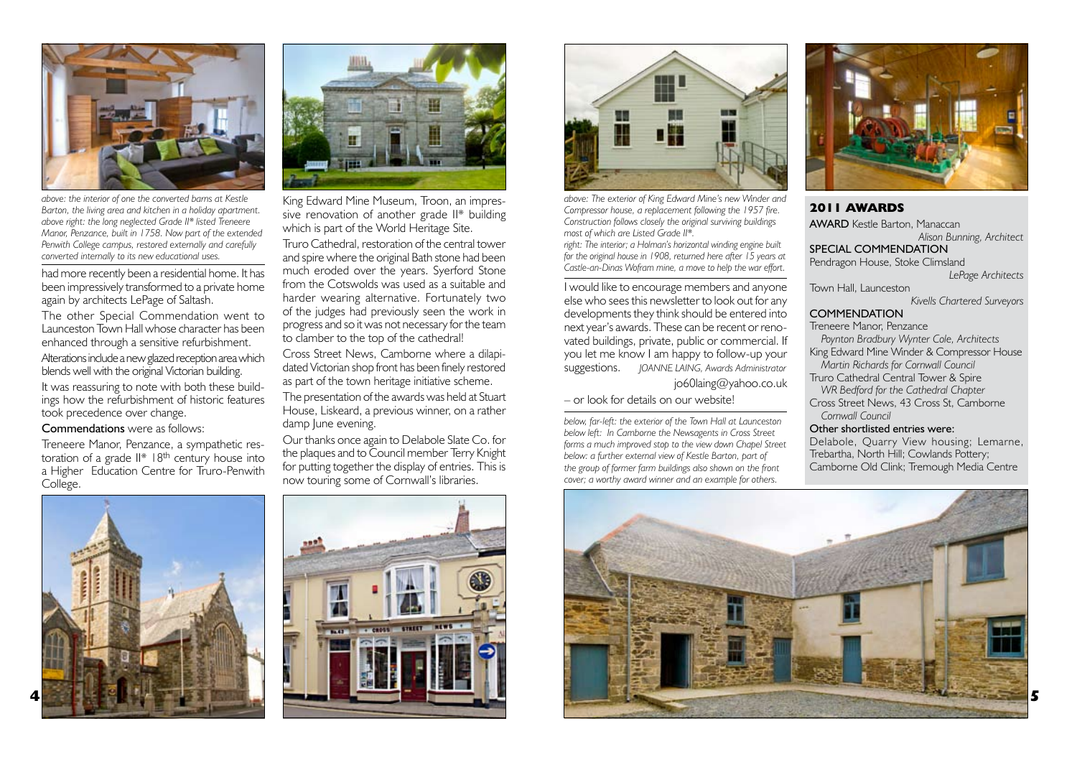

*above: the interior of one the converted barns at Kestle Barton, the living area and kitchen in a holiday apartment. above right: the long neglected Grade II\* listed Treneere Manor, Penzance, built in 1758. Now part of the extended Penwith College campus, restored externally and carefully converted internally to its new educational uses.* 

had more recently been a residential home. It has been impressively transformed to a private home again by architects LePage of Saltash. The other Special Commendation went to Launceston Town Hall whose character has been enhanced through a sensitive refurbishment. Alterations include a new glazed reception area which blends well with the original Victorian building. It was reassuring to note with both these buildings how the refurbishment of historic features took precedence over change.

Commendations were as follows:

Treneere Manor, Penzance, a sympathetic restoration of a grade II\* 18<sup>th</sup> century house into a Higher Education Centre for Truro-Penwith College.





King Edward Mine Museum, Troon, an impressive renovation of another grade II\* building which is part of the World Heritage Site.

Truro Cathedral, restoration of the central tower and spire where the original Bath stone had been much eroded over the years. Syerford Stone from the Cotswolds was used as a suitable and harder wearing alternative. Fortunately two of the judges had previously seen the work in progress and so it was not necessary for the team to clamber to the top of the cathedral!

Cross Street News, Camborne where a dilapidated Victorian shop front has been finely restored as part of the town heritage initiative scheme.

The presentation of the awards was held at Stuart House, Liskeard, a previous winner, on a rather damp June evening.

Our thanks once again to Delabole Slate Co. for the plaques and to Council member Terry Knight for putting together the display of entries. This is now touring some of Cornwall's libraries.





*above: The exterior of King Edward Mine's new Winder and Compressor house, a replacement following the 1957 fire. Construction follows closely the original surviving buildings most of which are Listed Grade II\*.* 

*right: The interior; a Holman's horizontal winding engine built for the original house in 1908, returned here after 15 years at Castle-an-Dinas Wofram mine, a move to help the war effort.*

I would like to encourage members and anyone else who sees this newsletter to look out for any developments they think should be entered into next year's awards. These can be recent or renovated buildings, private, public or commercial. If you let me know I am happy to follow-up your suggestions. *JOANNE LAING, Awards Administrator* jo60laing@yahoo.co.uk

### – or look for details on our website!

*below, far-left: the exterior of the Town Hall at Launceston below left: In Camborne the Newsagents in Cross Street forms a much improved stop to the view down Chapel Street below: a further external view of Kestle Barton, part of the group of former farm buildings also shown on the front cover; a worthy award winner and an example for others.*



## **2011 AWARDS** AWARD Kestle Barton, Manaccan *Alison Bunning, Architect* SPECIAL COMMENDATION Pendragon House, Stoke Climsland *LePage Architects* Town Hall, Launceston *Kivells Chartered Surveyors* **COMMENDATION** Treneere Manor, Penzance *Poynton Bradbury Wynter Cole, Architects* King Edward Mine Winder & Compressor House  *Martin Richards for Cornwall Council*  Truro Cathedral Central Tower & Spire  *WR Bedford for the Cathedral Chapter* Cross Street News, 43 Cross St, Camborne  *Cornwall Council*  Other shortlisted entries were: Delabole, Quarry View housing; Lemarne, Trebartha, North Hill; Cowlands Pottery;



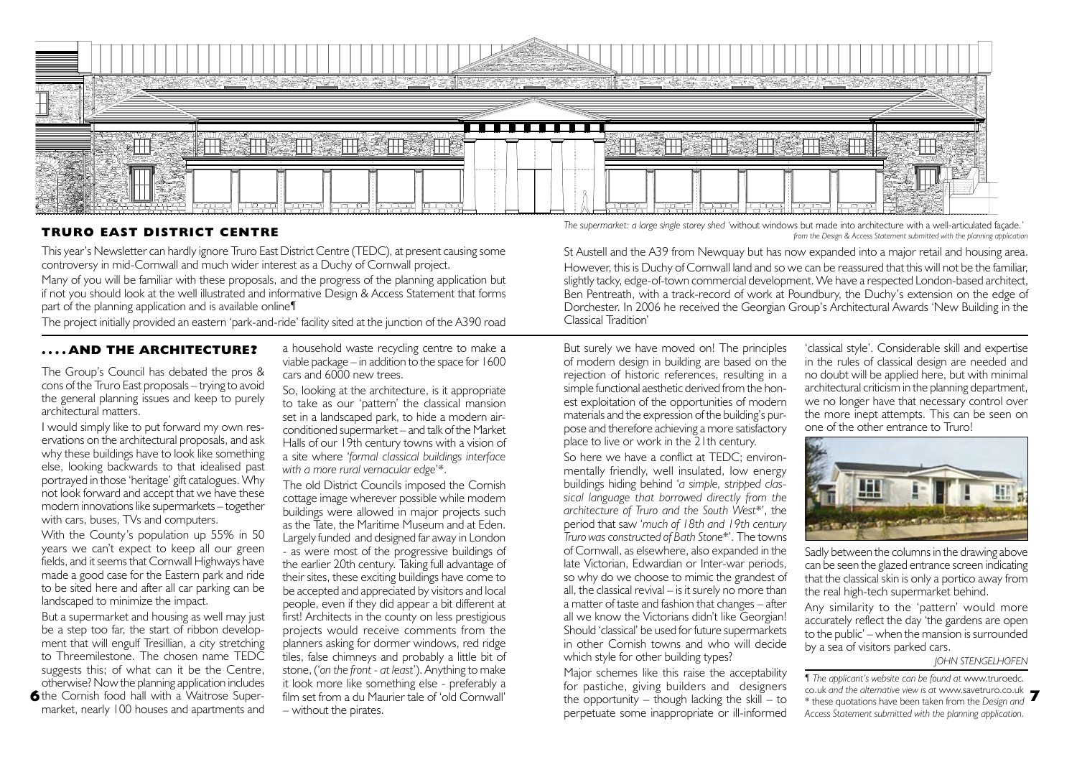

## **TRURO EAST DISTRICT CENTRE**

This year's Newsletter can hardly ignore Truro East District Centre (TEDC), at present causing some controversy in mid-Cornwall and much wider interest as a Duchy of Cornwall project.

Many of you will be familiar with these proposals, and the progress of the planning application but if not you should look at the well illustrated and informative Design & Access Statement that forms part of the planning application and is available online¶

The project initially provided an eastern 'park-and-ride' facility sited at the junction of the A390 road

## **. . . . AND THE ARCHITECTURE?**

The Group's Council has debated the pros & cons of the Truro East proposals – trying to avoid the general planning issues and keep to purely architectural matters.

I would simply like to put forward my own reservations on the architectural proposals, and ask why these buildings have to look like something else, looking backwards to that idealised past portrayed in those 'heritage' gift catalogues. Why not look forward and accept that we have these modern innovations like supermarkets – together with cars, buses, TVs and computers.

With the County's population up 55% in 50 years we can't expect to keep all our green fields, and it seems that Cornwall Highways have made a good case for the Eastern park and ride to be sited here and after all car parking can be landscaped to minimize the impact.

But a supermarket and housing as well may just be a step too far, the start of ribbon development that will engulf Tresillian, a city stretching to Threemilestone. The chosen name TEDC suggests this; of what can it be the Centre, otherwise? Now the planning application includes the Cornish food hall with a Waitrose Super-**6** market, nearly 100 houses and apartments and

a household waste recycling centre to make a viable package – in addition to the space for 1600 cars and 6000 new trees.

So, looking at the architecture, is it appropriate to take as our 'pattern' the classical mansion set in a landscaped park, to hide a modern airconditioned supermarket – and talk of the Market Halls of our 19th century towns with a vision of a site where '*formal classical buildings interface with a more rural vernacular edge*'\*.

The old District Councils imposed the Cornish cottage image wherever possible while modern buildings were allowed in major projects such as the Tate, the Maritime Museum and at Eden. Largely funded and designed far away in London - as were most of the progressive buildings of the earlier 20th century. Taking full advantage of their sites, these exciting buildings have come to be accepted and appreciated by visitors and local people, even if they did appear a bit different at first! Architects in the county on less prestigious projects would receive comments from the planners asking for dormer windows, red ridge tiles, false chimneys and probably a little bit of stone, ('*on the front - at least*'). Anything to make it look more like something else - preferably a film set from a du Maurier tale of 'old Cornwall' – without the pirates.

*The supermarket: a large single storey shed '*without windows but made into architecture with a well-articulated façade*.' from the Design & Access Statement submitted with the planning application*

St Austell and the A39 from Newquay but has now expanded into a major retail and housing area. However, this is Duchy of Cornwall land and so we can be reassured that this will not be the familiar, slightly tacky, edge-of-town commercial development. We have a respected London-based architect, Ben Pentreath, with a track-record of work at Poundbury, the Duchy's extension on the edge of Dorchester. In 2006 he received the Georgian Group's Architectural Awards 'New Building in the Classical Tradition'

But surely we have moved on! The principles of modern design in building are based on the rejection of historic references, resulting in a simple functional aesthetic derived from the honest exploitation of the opportunities of modern materials and the expression of the building's purpose and therefore achieving a more satisfactory place to live or work in the 21th century.

So here we have a conflict at TEDC; environmentally friendly, well insulated, low energy buildings hiding behind '*a simple, stripped classical language that borrowed directly from the architecture of Truro and the South West*\*', the period that saw '*much of 18th and 19th century Truro was constructed of Bath Stone*\*'. The towns of Cornwall, as elsewhere, also expanded in the late Victorian, Edwardian or Inter-war periods, so why do we choose to mimic the grandest of all, the classical revival – is it surely no more than a matter of taste and fashion that changes – after all we know the Victorians didn't like Georgian! Should 'classical' be used for future supermarkets in other Cornish towns and who will decide which style for other building types?

Major schemes like this raise the acceptability for pastiche, giving builders and designers the opportunity – though lacking the skill – to perpetuate some inappropriate or ill-informed

'classical style'. Considerable skill and expertise in the rules of classical design are needed and no doubt will be applied here, but with minimal architectural criticism in the planning department, we no longer have that necessary control over the more inept attempts. This can be seen on one of the other entrance to Truro!



Sadly between the columns in the drawing above can be seen the glazed entrance screen indicating that the classical skin is only a portico away from the real high-tech supermarket behind.

Any similarity to the 'pattern' would more accurately reflect the day 'the gardens are open to the public' – when the mansion is surrounded by a sea of visitors parked cars.

#### *JOHN STENGELHOFEN*

*¶ The applicant's website can be found at* www.truroedc. co.uk *and the alternative view is at* www.savetruro.co.uk **7** \* these quotations have been taken from the *Design and Access Statement submitted with the planning application.*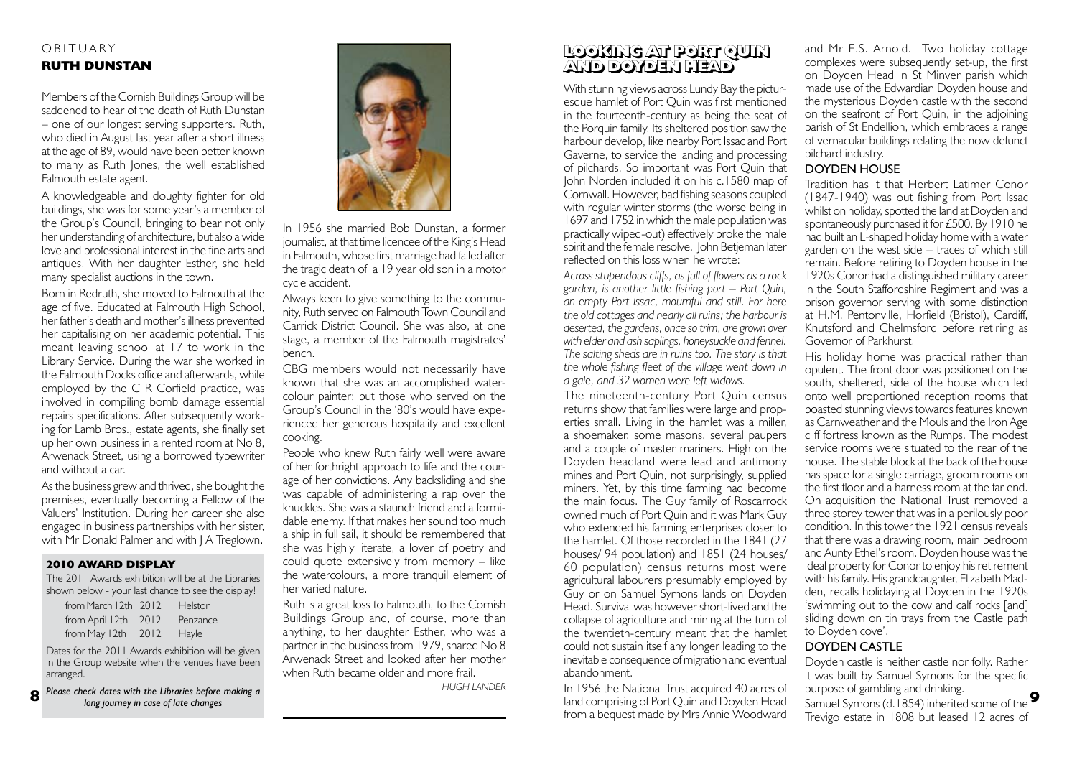## OBITUARY **RUTH DUNSTAN**

Members of the Cornish Buildings Group will be saddened to hear of the death of Ruth Dunstan – one of our longest serving supporters. Ruth, who died in August last year after a short illness at the age of 89, would have been better known to many as Ruth Jones, the well established Falmouth estate agent.

A knowledgeable and doughty fighter for old buildings, she was for some year's a member of the Group's Council, bringing to bear not only her understanding of architecture, but also a wide love and professional interest in the fine arts and antiques. With her daughter Esther, she held many specialist auctions in the town.

Born in Redruth, she moved to Falmouth at the age of five. Educated at Falmouth High School, her father's death and mother's illness prevented her capitalising on her academic potential. This meant leaving school at 17 to work in the Library Service. During the war she worked in the Falmouth Docks office and afterwards, while employed by the C R Corfield practice, was involved in compiling bomb damage essential repairs specifications. After subsequently working for Lamb Bros., estate agents, she finally set up her own business in a rented room at No 8, Arwenack Street, using a borrowed typewriter and without a car.

As the business grew and thrived, she bought the premises, eventually becoming a Fellow of the Valuers' Institution. During her career she also engaged in business partnerships with her sister, with Mr Donald Palmer and with I A Treglown.

## **2010 AWARD DISPLAY**

The 2011 Awards exhibition will be at the Libraries shown below - your last chance to see the display!

| from March 12th 2012 | Helston  |
|----------------------|----------|
| from April 12th 2012 | Penzance |
| from May $12th$ 2012 | Hayle    |

Dates for the 2011 Awards exhibition will be given in the Group website when the venues have been arranged.

*Please check dates with the Libraries before making a long journey in case of late changes* **8**



In 1956 she married Bob Dunstan, a former journalist, at that time licencee of the King's Head in Falmouth, whose first marriage had failed after the tragic death of a 19 year old son in a motor cycle accident.

Always keen to give something to the community, Ruth served on Falmouth Town Council and Carrick District Council. She was also, at one stage, a member of the Falmouth magistrates' bench.

CBG members would not necessarily have known that she was an accomplished watercolour painter; but those who served on the Group's Council in the '80's would have experienced her generous hospitality and excellent cooking.

People who knew Ruth fairly well were aware of her forthright approach to life and the courage of her convictions. Any backsliding and she was capable of administering a rap over the knuckles. She was a staunch friend and a formidable enemy. If that makes her sound too much a ship in full sail, it should be remembered that she was highly literate, a lover of poetry and could quote extensively from memory – like the watercolours, a more tranquil element of her varied nature.

Ruth is a great loss to Falmouth, to the Cornish Buildings Group and, of course, more than anything, to her daughter Esther, who was a partner in the business from 1979, shared No 8 Arwenack Street and looked after her mother when Ruth became older and more frail

*HUGH LANDER*

#### **LOOKING AT PORT QUIN AND DOYDEN HEAD LOOKING AT PORT QUIN AND DOYDEN HEAD**

With stunning views across Lundy Bay the picturesque hamlet of Port Quin was first mentioned in the fourteenth-century as being the seat of the Porquin family. Its sheltered position saw the harbour develop, like nearby Port Issac and Port Gaverne, to service the landing and processing of pilchards. So important was Port Quin that John Norden included it on his c.1580 map of Cornwall. However, bad fishing seasons coupled with regular winter storms (the worse being in 1697 and 1752 in which the male population was practically wiped-out) effectively broke the male spirit and the female resolve. John Betjeman later reflected on this loss when he wrote:

*Across stupendous cliffs, as full of flowers as a rock garden, is another little fishing port – Port Quin, an empty Port Issac, mournful and still. For here the old cottages and nearly all ruins; the harbour is deserted, the gardens, once so trim, are grown over with elder and ash saplings, honeysuckle and fennel. The salting sheds are in ruins too. The story is that the whole fishing fleet of the village went down in a gale, and 32 women were left widows.*

The nineteenth-century Port Quin census returns show that families were large and properties small. Living in the hamlet was a miller, a shoemaker, some masons, several paupers and a couple of master mariners. High on the Doyden headland were lead and antimony mines and Port Quin, not surprisingly, supplied miners. Yet, by this time farming had become the main focus. The Guy family of Roscarrock owned much of Port Quin and it was Mark Guy who extended his farming enterprises closer to the hamlet. Of those recorded in the 1841 (27 houses/ 94 population) and 1851 (24 houses/ 60 population) census returns most were agricultural labourers presumably employed by Guy or on Samuel Symons lands on Doyden Head. Survival was however short-lived and the collapse of agriculture and mining at the turn of the twentieth-century meant that the hamlet could not sustain itself any longer leading to the inevitable consequence of migration and eventual abandonment.

In 1956 the National Trust acquired 40 acres of land comprising of Port Quin and Doyden Head from a bequest made by Mrs Annie Woodward

and Mr E.S. Arnold. Two holiday cottage complexes were subsequently set-up, the first on Doyden Head in St Minver parish which made use of the Edwardian Doyden house and the mysterious Doyden castle with the second on the seafront of Port Quin, in the adjoining parish of St Endellion, which embraces a range of vernacular buildings relating the now defunct pilchard industry.

## DOYDEN HOUSE

Tradition has it that Herbert Latimer Conor (1847-1940) was out fishing from Port Issac whilst on holiday, spotted the land at Doyden and spontaneously purchased it for £500. By 1910 he had built an L-shaped holiday home with a water garden on the west side – traces of which still remain. Before retiring to Doyden house in the 1920s Conor had a distinguished military career in the South Staffordshire Regiment and was a prison governor serving with some distinction at H.M. Pentonville, Horfield (Bristol), Cardiff, Knutsford and Chelmsford before retiring as Governor of Parkhurst.

His holiday home was practical rather than opulent. The front door was positioned on the south, sheltered, side of the house which led onto well proportioned reception rooms that boasted stunning views towards features known as Carnweather and the Mouls and the Iron Age cliff fortress known as the Rumps. The modest service rooms were situated to the rear of the house. The stable block at the back of the house has space for a single carriage, groom rooms on the first floor and a harness room at the far end. On acquisition the National Trust removed a three storey tower that was in a perilously poor condition. In this tower the 1921 census reveals that there was a drawing room, main bedroom and Aunty Ethel's room. Doyden house was the ideal property for Conor to enjoy his retirement with his family. His granddaughter, Elizabeth Madden, recalls holidaying at Doyden in the 1920s 'swimming out to the cow and calf rocks [and] sliding down on tin trays from the Castle path to Doyden cove'.

## DOYDEN CASTLE

Doyden castle is neither castle nor folly. Rather it was built by Samuel Symons for the specific purpose of gambling and drinking. Samuel Symons (d.1854) inherited some of the **9**Trevigo estate in 1808 but leased 12 acres of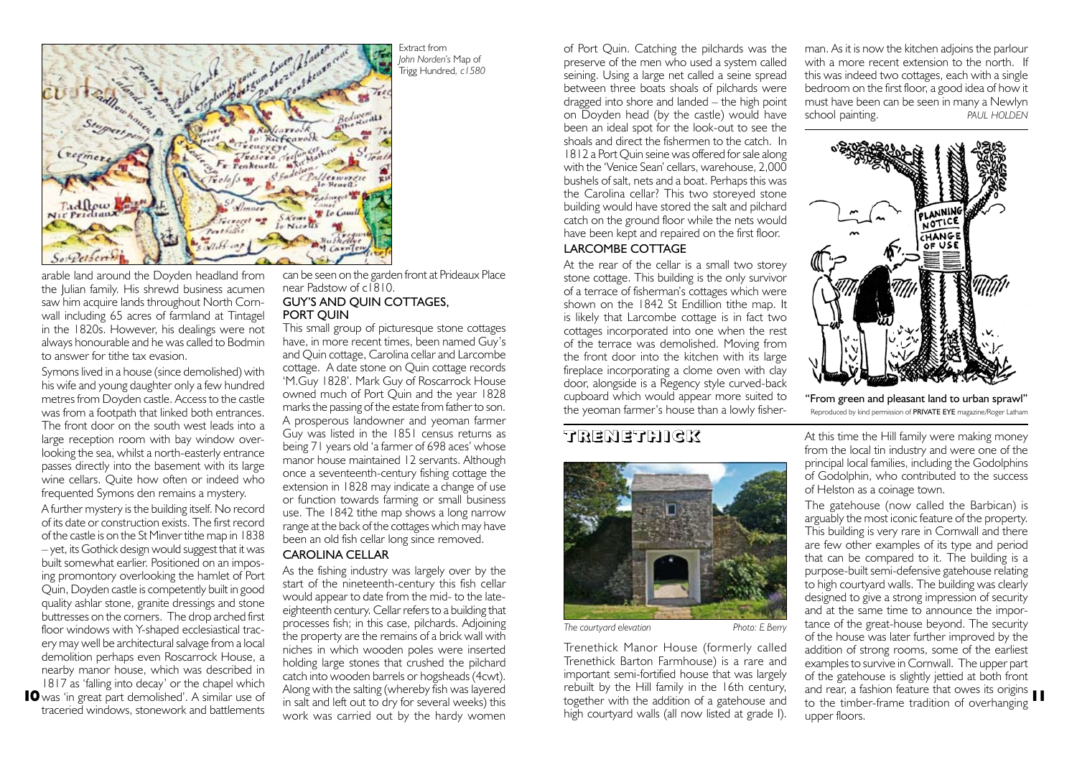

Extract from *John Norden's* Map of Trigg Hundred*, c1580*

arable land around the Doyden headland from the Julian family. His shrewd business acumen saw him acquire lands throughout North Cornwall including 65 acres of farmland at Tintagel in the 1820s. However, his dealings were not always honourable and he was called to Bodmin to answer for tithe tax evasion.

Symons lived in a house (since demolished) with his wife and young daughter only a few hundred metres from Doyden castle. Access to the castle was from a footpath that linked both entrances. The front door on the south west leads into a large reception room with bay window overlooking the sea, whilst a north-easterly entrance passes directly into the basement with its large wine cellars. Quite how often or indeed who frequented Symons den remains a mystery.

A further mystery is the building itself. No record of its date or construction exists. The first record of the castle is on the St Minver tithe map in 1838 – yet, its Gothick design would suggest that it was built somewhat earlier. Positioned on an imposing promontory overlooking the hamlet of Port Quin, Doyden castle is competently built in good quality ashlar stone, granite dressings and stone buttresses on the corners. The drop arched first floor windows with Y-shaped ecclesiastical tracery may well be architectural salvage from a local demolition perhaps even Roscarrock House, a nearby manor house, which was described in 1817 as 'falling into decay' or the chapel which **10** was 'in great part demolished'. A similar use of traceried windows, stonework and battlements

can be seen on the garden front at Prideaux Place near Padstow of c1810. GUY'S AND QUIN COTTAGES,

## PORT QUIN

This small group of picturesque stone cottages have, in more recent times, been named Guy's and Quin cottage, Carolina cellar and Larcombe cottage. A date stone on Quin cottage records 'M.Guy 1828'. Mark Guy of Roscarrock House owned much of Port Quin and the year 1828 marks the passing of the estate from father to son. A prosperous landowner and yeoman farmer Guy was listed in the 1851 census returns as being 71 years old 'a farmer of 698 aces' whose manor house maintained 12 servants. Although once a seventeenth-century fishing cottage the extension in 1828 may indicate a change of use or function towards farming or small business use. The 1842 tithe map shows a long narrow range at the back of the cottages which may have been an old fish cellar long since removed.

## CAROLINA CELLAR

As the fishing industry was largely over by the start of the nineteenth-century this fish cellar would appear to date from the mid- to the lateeighteenth century. Cellar refers to a building that processes fish; in this case, pilchards. Adjoining the property are the remains of a brick wall with niches in which wooden poles were inserted holding large stones that crushed the pilchard catch into wooden barrels or hogsheads (4cwt). Along with the salting (whereby fish was layered in salt and left out to dry for several weeks) this work was carried out by the hardy women

of Port Quin. Catching the pilchards was the preserve of the men who used a system called seining. Using a large net called a seine spread between three boats shoals of pilchards were dragged into shore and landed – the high point on Doyden head (by the castle) would have been an ideal spot for the look-out to see the shoals and direct the fishermen to the catch. In 1812 a Port Quin seine was offered for sale along with the 'Venice Sean' cellars, warehouse, 2,000 bushels of salt, nets and a boat. Perhaps this was the Carolina cellar? This two storeyed stone building would have stored the salt and pilchard catch on the ground floor while the nets would have been kept and repaired on the first floor.

## LARCOMBE COTTAGE

At the rear of the cellar is a small two storey stone cottage. This building is the only survivor of a terrace of fisherman's cottages which were shown on the 1842 St Endillion tithe map. It is likely that Larcombe cottage is in fact two cottages incorporated into one when the rest of the terrace was demolished. Moving from the front door into the kitchen with its large fireplace incorporating a clome oven with clay door, alongside is a Regency style curved-back cupboard which would appear more suited to the yeoman farmer's house than a lowly fisher-

## **T R E N E T H I C K T R E N E T H I C K**



*The courtyard elevation Photo: E Berry*

Trenethick Manor House (formerly called Trenethick Barton Farmhouse) is a rare and important semi-fortified house that was largely rebuilt by the Hill family in the 16th century, together with the addition of a gatehouse and high courtyard walls (all now listed at grade I). man. As it is now the kitchen adjoins the parlour with a more recent extension to the north. If this was indeed two cottages, each with a single bedroom on the first floor, a good idea of how it must have been can be seen in many a Newlyn school painting. *PAUL HOLDEN*



"From green and pleasant land to urban sprawl" Reproduced by kind permission of PRIVATE EYE magazine/Roger Latham

At this time the Hill family were making money from the local tin industry and were one of the principal local families, including the Godolphins of Godolphin, who contributed to the success of Helston as a coinage town.

The gatehouse (now called the Barbican) is arguably the most iconic feature of the property. This building is very rare in Cornwall and there are few other examples of its type and period that can be compared to it. The building is a purpose-built semi-defensive gatehouse relating to high courtyard walls. The building was clearly designed to give a strong impression of security and at the same time to announce the importance of the great-house beyond. The security of the house was later further improved by the addition of strong rooms, some of the earliest examples to survive in Cornwall. The upper part of the gatehouse is slightly jettied at both front and rear, a fashion feature that owes its origins **11**to the timber-frame tradition of overhanging upper floors.